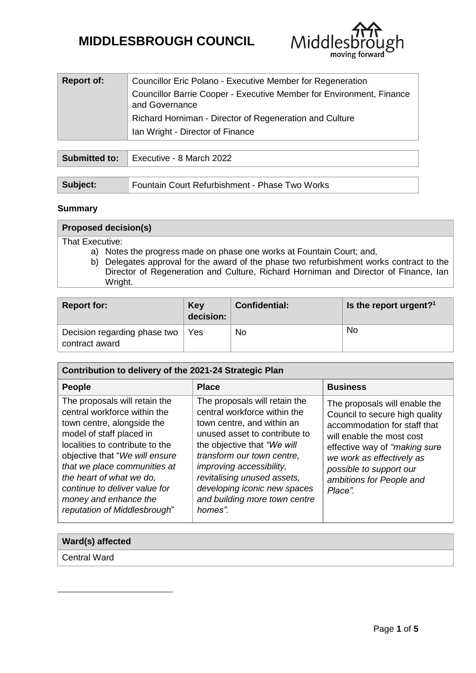# **MIDDLESBROUGH COUNCIL**



| <b>Report of:</b> | Councillor Eric Polano - Executive Member for Regeneration                             |  |  |
|-------------------|----------------------------------------------------------------------------------------|--|--|
|                   | Councillor Barrie Cooper - Executive Member for Environment, Finance<br>and Governance |  |  |
|                   | Richard Horniman - Director of Regeneration and Culture                                |  |  |
|                   | Ian Wright - Director of Finance                                                       |  |  |

|          | <b>Submitted to:</b>   Executive - 8 March 2022 |  |  |
|----------|-------------------------------------------------|--|--|
|          |                                                 |  |  |
| Subject: | Fountain Court Refurbishment - Phase Two Works  |  |  |

# **Summary**

**.** 

| <b>Proposed decision(s)</b>                                                              |  |  |
|------------------------------------------------------------------------------------------|--|--|
| That Executive:                                                                          |  |  |
| a) Notes the progress made on phase one works at Fountain Court; and,                    |  |  |
| b) Delegates approval for the award of the phase two refurbishment works contract to the |  |  |
|                                                                                          |  |  |

Director of Regeneration and Culture, Richard Horniman and Director of Finance, Ian Wright.

| <b>Report for:</b>                             | <b>Key</b><br>decision: | <b>Confidential:</b> | Is the report urgent? <sup>1</sup> |
|------------------------------------------------|-------------------------|----------------------|------------------------------------|
| Decision regarding phase two<br>contract award | Yes                     | No                   | No                                 |

| Contribution to delivery of the 2021-24 Strategic Plan                                                                                                                                                                                                                                                                                             |                                                                                                                                                                                                                                                                                                                                  |                                                                                                                                                                                                                                                               |  |
|----------------------------------------------------------------------------------------------------------------------------------------------------------------------------------------------------------------------------------------------------------------------------------------------------------------------------------------------------|----------------------------------------------------------------------------------------------------------------------------------------------------------------------------------------------------------------------------------------------------------------------------------------------------------------------------------|---------------------------------------------------------------------------------------------------------------------------------------------------------------------------------------------------------------------------------------------------------------|--|
| <b>People</b>                                                                                                                                                                                                                                                                                                                                      | <b>Place</b>                                                                                                                                                                                                                                                                                                                     | <b>Business</b>                                                                                                                                                                                                                                               |  |
| The proposals will retain the<br>central workforce within the<br>town centre, alongside the<br>model of staff placed in<br>localities to contribute to the<br>objective that "We will ensure<br>that we place communities at<br>the heart of what we do,<br>continue to deliver value for<br>money and enhance the<br>reputation of Middlesbrough" | The proposals will retain the<br>central workforce within the<br>town centre, and within an<br>unused asset to contribute to<br>the objective that "We will<br>transform our town centre.<br>improving accessibility,<br>revitalising unused assets,<br>developing iconic new spaces<br>and building more town centre<br>homes". | The proposals will enable the<br>Council to secure high quality<br>accommodation for staff that<br>will enable the most cost<br>effective way of "making sure"<br>we work as effectively as<br>possible to support our<br>ambitions for People and<br>Place". |  |

| <b>Ward(s) affected</b> |  |
|-------------------------|--|
| Central Ward            |  |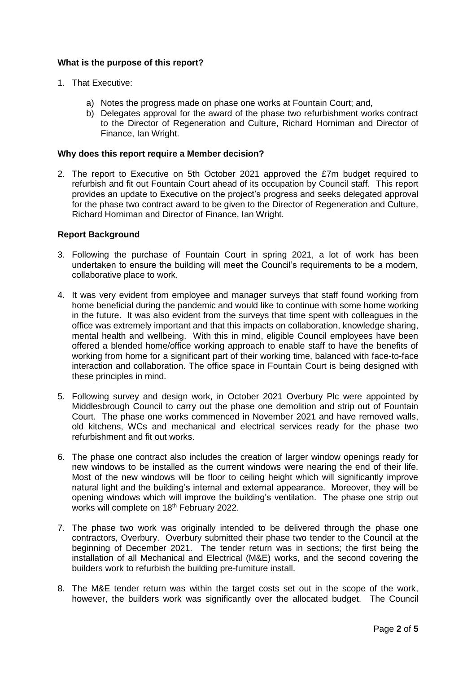# **What is the purpose of this report?**

- 1. That Executive:
	- a) Notes the progress made on phase one works at Fountain Court; and,
	- b) Delegates approval for the award of the phase two refurbishment works contract to the Director of Regeneration and Culture, Richard Horniman and Director of Finance, Ian Wright.

# **Why does this report require a Member decision?**

2. The report to Executive on 5th October 2021 approved the £7m budget required to refurbish and fit out Fountain Court ahead of its occupation by Council staff. This report provides an update to Executive on the project's progress and seeks delegated approval for the phase two contract award to be given to the Director of Regeneration and Culture, Richard Horniman and Director of Finance, Ian Wright.

# **Report Background**

- 3. Following the purchase of Fountain Court in spring 2021, a lot of work has been undertaken to ensure the building will meet the Council's requirements to be a modern, collaborative place to work.
- 4. It was very evident from employee and manager surveys that staff found working from home beneficial during the pandemic and would like to continue with some home working in the future. It was also evident from the surveys that time spent with colleagues in the office was extremely important and that this impacts on collaboration, knowledge sharing, mental health and wellbeing. With this in mind, eligible Council employees have been offered a blended home/office working approach to enable staff to have the benefits of working from home for a significant part of their working time, balanced with face-to-face interaction and collaboration. The office space in Fountain Court is being designed with these principles in mind.
- 5. Following survey and design work, in October 2021 Overbury Plc were appointed by Middlesbrough Council to carry out the phase one demolition and strip out of Fountain Court. The phase one works commenced in November 2021 and have removed walls, old kitchens, WCs and mechanical and electrical services ready for the phase two refurbishment and fit out works.
- 6. The phase one contract also includes the creation of larger window openings ready for new windows to be installed as the current windows were nearing the end of their life. Most of the new windows will be floor to ceiling height which will significantly improve natural light and the building's internal and external appearance. Moreover, they will be opening windows which will improve the building's ventilation. The phase one strip out works will complete on 18<sup>th</sup> February 2022.
- 7. The phase two work was originally intended to be delivered through the phase one contractors, Overbury. Overbury submitted their phase two tender to the Council at the beginning of December 2021. The tender return was in sections; the first being the installation of all Mechanical and Electrical (M&E) works, and the second covering the builders work to refurbish the building pre-furniture install.
- 8. The M&E tender return was within the target costs set out in the scope of the work, however, the builders work was significantly over the allocated budget. The Council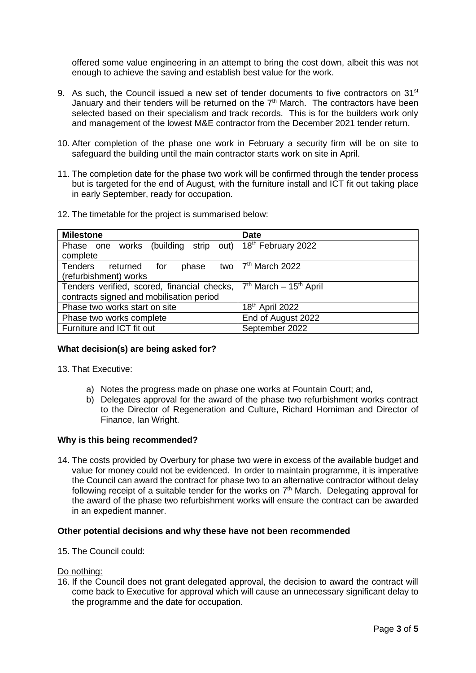offered some value engineering in an attempt to bring the cost down, albeit this was not enough to achieve the saving and establish best value for the work.

- 9. As such, the Council issued a new set of tender documents to five contractors on 31<sup>st</sup> January and their tenders will be returned on the  $7<sup>th</sup>$  March. The contractors have been selected based on their specialism and track records. This is for the builders work only and management of the lowest M&E contractor from the December 2021 tender return.
- 10. After completion of the phase one work in February a security firm will be on site to safeguard the building until the main contractor starts work on site in April.
- 11. The completion date for the phase two work will be confirmed through the tender process but is targeted for the end of August, with the furniture install and ICT fit out taking place in early September, ready for occupation.
- 12. The timetable for the project is summarised below:

| <b>Milestone</b>                                                            | <b>Date</b>                                    |  |  |
|-----------------------------------------------------------------------------|------------------------------------------------|--|--|
| works (building strip out)   18 <sup>th</sup> February 2022<br>Phase one    |                                                |  |  |
| complete                                                                    |                                                |  |  |
| two $\frac{1}{7}$ <sup>th</sup> March 2022<br>Tenders returned for<br>phase |                                                |  |  |
| (refurbishment) works                                                       |                                                |  |  |
| Tenders verified, scored, financial checks,                                 | 7 <sup>th</sup> March – 15 <sup>th</sup> April |  |  |
| contracts signed and mobilisation period                                    |                                                |  |  |
| Phase two works start on site                                               | 18 <sup>th</sup> April 2022                    |  |  |
| Phase two works complete                                                    | End of August 2022                             |  |  |
| Furniture and ICT fit out                                                   | September 2022                                 |  |  |

### **What decision(s) are being asked for?**

13. That Executive:

- a) Notes the progress made on phase one works at Fountain Court; and,
- b) Delegates approval for the award of the phase two refurbishment works contract to the Director of Regeneration and Culture, Richard Horniman and Director of Finance, Ian Wright.

### **Why is this being recommended?**

14. The costs provided by Overbury for phase two were in excess of the available budget and value for money could not be evidenced. In order to maintain programme, it is imperative the Council can award the contract for phase two to an alternative contractor without delay following receipt of a suitable tender for the works on  $7<sup>th</sup>$  March. Delegating approval for the award of the phase two refurbishment works will ensure the contract can be awarded in an expedient manner.

### **Other potential decisions and why these have not been recommended**

15. The Council could:

### Do nothing:

16. If the Council does not grant delegated approval, the decision to award the contract will come back to Executive for approval which will cause an unnecessary significant delay to the programme and the date for occupation.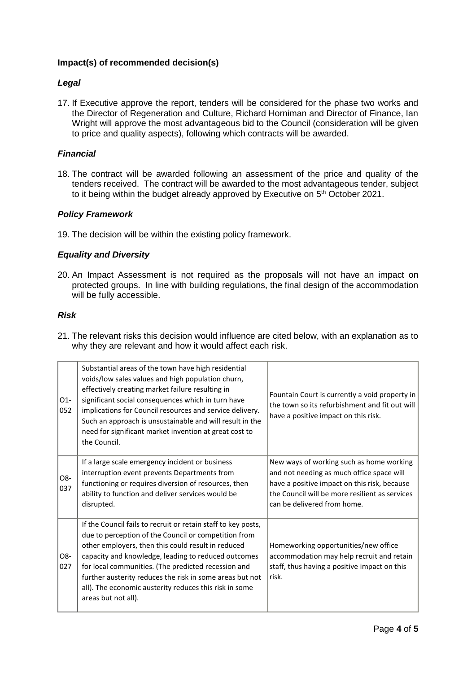# **Impact(s) of recommended decision(s)**

# *Legal*

17. If Executive approve the report, tenders will be considered for the phase two works and the Director of Regeneration and Culture, Richard Horniman and Director of Finance, Ian Wright will approve the most advantageous bid to the Council (consideration will be given to price and quality aspects), following which contracts will be awarded.

# *Financial*

18. The contract will be awarded following an assessment of the price and quality of the tenders received. The contract will be awarded to the most advantageous tender, subject to it being within the budget already approved by Executive on 5<sup>th</sup> October 2021.

## *Policy Framework*

19. The decision will be within the existing policy framework.

# *Equality and Diversity*

20. An Impact Assessment is not required as the proposals will not have an impact on protected groups. In line with building regulations, the final design of the accommodation will be fully accessible.

## *Risk*

21. The relevant risks this decision would influence are cited below, with an explanation as to why they are relevant and how it would affect each risk.

| $O1-$<br>052 | Substantial areas of the town have high residential<br>voids/low sales values and high population churn,<br>effectively creating market failure resulting in<br>significant social consequences which in turn have<br>implications for Council resources and service delivery.<br>Such an approach is unsustainable and will result in the<br>need for significant market invention at great cost to<br>the Council.                   | Fountain Court is currently a void property in<br>the town so its refurbishment and fit out will<br>have a positive impact on this risk.                                                                               |
|--------------|----------------------------------------------------------------------------------------------------------------------------------------------------------------------------------------------------------------------------------------------------------------------------------------------------------------------------------------------------------------------------------------------------------------------------------------|------------------------------------------------------------------------------------------------------------------------------------------------------------------------------------------------------------------------|
| O8-<br>037   | If a large scale emergency incident or business<br>interruption event prevents Departments from<br>functioning or requires diversion of resources, then<br>ability to function and deliver services would be<br>disrupted.                                                                                                                                                                                                             | New ways of working such as home working<br>and not needing as much office space will<br>have a positive impact on this risk, because<br>the Council will be more resilient as services<br>can be delivered from home. |
| O8-<br>027   | If the Council fails to recruit or retain staff to key posts,<br>due to perception of the Council or competition from<br>other employers, then this could result in reduced<br>capacity and knowledge, leading to reduced outcomes<br>for local communities. (The predicted recession and<br>further austerity reduces the risk in some areas but not<br>all). The economic austerity reduces this risk in some<br>areas but not all). | Homeworking opportunities/new office<br>accommodation may help recruit and retain<br>staff, thus having a positive impact on this<br>risk.                                                                             |